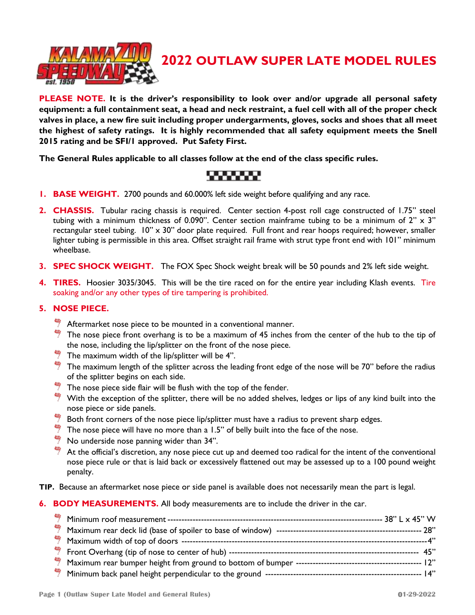

# **2022 OUTLAW SUPER LATE MODEL RULES**

**PLEASE NOTE. It is the driver's responsibility to look over and/or upgrade all personal safety equipment: a full containment seat, a head and neck restraint, a fuel cell with all of the proper check valves in place, a new fire suit including proper undergarments, gloves, socks and shoes that all meet the highest of safety ratings. It is highly recommended that all safety equipment meets the Snell 2015 rating and be SFI/1 approved. Put Safety First.**

**The General Rules applicable to all classes follow at the end of the class specific rules.** 

- **1. BASE WEIGHT.** 2700 pounds and 60.000% left side weight before qualifying and any race.
- **2. CHASSIS.** Tubular racing chassis is required. Center section 4-post roll cage constructed of 1.75" steel tubing with a minimum thickness of 0.090". Center section mainframe tubing to be a minimum of 2"  $\times$  3" rectangular steel tubing. 10" x 30" door plate required. Full front and rear hoops required; however, smaller lighter tubing is permissible in this area. Offset straight rail frame with strut type front end with 101" minimum wheelbase.
- **3. SPEC SHOCK WEIGHT.** The FOX Spec Shock weight break will be 50 pounds and 2% left side weight.
- **4. TIRES.** Hoosier 3035/3045. This will be the tire raced on for the entire year including Klash events. Tire soaking and/or any other types of tire tampering is prohibited.

## **5. NOSE PIECE.**

- $\frac{4}{3}$  Aftermarket nose piece to be mounted in a conventional manner.
- The nose piece front overhang is to be a maximum of 45 inches from the center of the hub to the tip of the nose, including the lip/splitter on the front of the nose piece.
- The maximum width of the lip/splitter will be 4".
- $\frac{40}{7}$  The maximum length of the splitter across the leading front edge of the nose will be 70" before the radius of the splitter begins on each side.
- $\frac{1}{2}$  The nose piece side flair will be flush with the top of the fender.
- With the exception of the splitter, there will be no added shelves, ledges or lips of any kind built into the nose piece or side panels.
- Both front corners of the nose piece lip/splitter must have a radius to prevent sharp edges.
- The nose piece will have no more than a 1.5" of belly built into the face of the nose.
- No underside nose panning wider than 34".
- 蛳 At the official's discretion, any nose piece cut up and deemed too radical for the intent of the conventional nose piece rule or that is laid back or excessively flattened out may be assessed up to a 100 pound weight penalty.
- **TIP.** Because an aftermarket nose piece or side panel is available does not necessarily mean the part is legal.

#### **6. BODY MEASUREMENTS.** All body measurements are to include the driver in the car.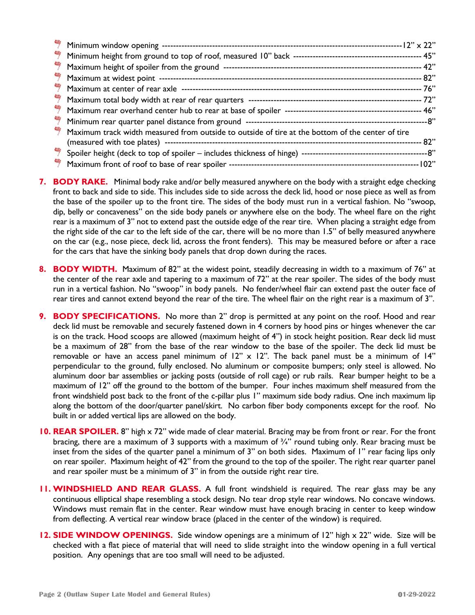| Maximum track width measured from outside to outside of tire at the bottom of the center of tire |         |
|--------------------------------------------------------------------------------------------------|---------|
|                                                                                                  | --- 82" |
|                                                                                                  |         |
|                                                                                                  | -- 102" |

- **7. BODY RAKE.** Minimal body rake and/or belly measured anywhere on the body with a straight edge checking front to back and side to side. This includes side to side across the deck lid, hood or nose piece as well as from the base of the spoiler up to the front tire. The sides of the body must run in a vertical fashion. No "swoop, dip, belly or concaveness" on the side body panels or anywhere else on the body. The wheel flare on the right rear is a maximum of 3" not to extend past the outside edge of the rear tire. When placing a straight edge from the right side of the car to the left side of the car, there will be no more than 1.5" of belly measured anywhere on the car (e.g., nose piece, deck lid, across the front fenders). This may be measured before or after a race for the cars that have the sinking body panels that drop down during the races.
- **8. BODY WIDTH.** Maximum of 82" at the widest point, steadily decreasing in width to a maximum of 76" at the center of the rear axle and tapering to a maximum of 72" at the rear spoiler. The sides of the body must run in a vertical fashion. No "swoop" in body panels. No fender/wheel flair can extend past the outer face of rear tires and cannot extend beyond the rear of the tire. The wheel flair on the right rear is a maximum of 3".
- **9. BODY SPECIFICATIONS.** No more than 2" drop is permitted at any point on the roof. Hood and rear deck lid must be removable and securely fastened down in 4 corners by hood pins or hinges whenever the car is on the track. Hood scoops are allowed (maximum height of 4") in stock height position. Rear deck lid must be a maximum of 28" from the base of the rear window to the base of the spoiler. The deck lid must be removable or have an access panel minimum of 12" x 12". The back panel must be a minimum of 14" perpendicular to the ground, fully enclosed. No aluminum or composite bumpers; only steel is allowed. No aluminum door bar assemblies or jacking posts (outside of roll cage) or rub rails. Rear bumper height to be a maximum of 12" off the ground to the bottom of the bumper. Four inches maximum shelf measured from the front windshield post back to the front of the c-pillar plus 1" maximum side body radius. One inch maximum lip along the bottom of the door/quarter panel/skirt. No carbon fiber body components except for the roof. No built in or added vertical lips are allowed on the body.
- **10. REAR SPOILER.** 8" high x 72" wide made of clear material. Bracing may be from front or rear. For the front bracing, there are a maximum of 3 supports with a maximum of ¾" round tubing only. Rear bracing must be inset from the sides of the quarter panel a minimum of 3" on both sides. Maximum of 1" rear facing lips only on rear spoiler. Maximum height of 42" from the ground to the top of the spoiler. The right rear quarter panel and rear spoiler must be a minimum of 3" in from the outside right rear tire.
- **11. WINDSHIELD AND REAR GLASS.** A full front windshield is required. The rear glass may be any continuous elliptical shape resembling a stock design. No tear drop style rear windows. No concave windows. Windows must remain flat in the center. Rear window must have enough bracing in center to keep window from deflecting. A vertical rear window brace (placed in the center of the window) is required.
- **12. SIDE WINDOW OPENINGS.** Side window openings are a minimum of 12" high x 22" wide. Size will be checked with a flat piece of material that will need to slide straight into the window opening in a full vertical position. Any openings that are too small will need to be adjusted.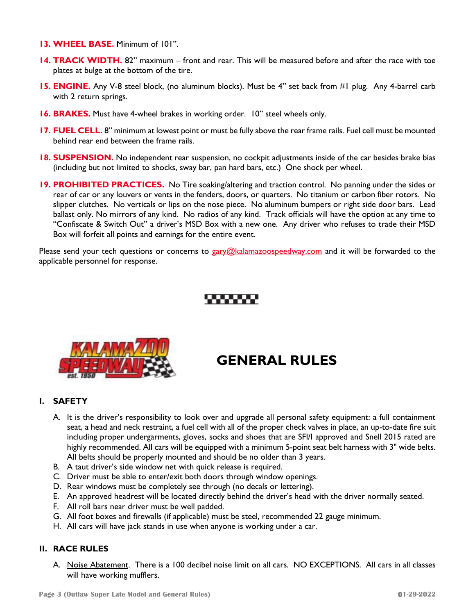- **13. WHEEL BASE.** Minimum of 101".
- **14. TRACK WIDTH.** 82" maximum front and rear. This will be measured before and after the race with toe plates at bulge at the bottom of the tire.
- **15. ENGINE.** Any V-8 steel block, (no aluminum blocks). Must be 4" set back from #1 plug. Any 4-barrel carb with 2 return springs.
- **16. BRAKES.** Must have 4-wheel brakes in working order. 10" steel wheels only.
- **17. FUEL CELL.** 8" minimum at lowest point or must be fully above the rear frame rails. Fuel cell must be mounted behind rear end between the frame rails.
- **18. SUSPENSION.** No independent rear suspension, no cockpit adjustments inside of the car besides brake bias (including but not limited to shocks, sway bar, pan hard bars, etc.) One shock per wheel.
- **19. PROHIBITED PRACTICES.** No Tire soaking/altering and traction control.No panning under the sides or rear of car or any louvers or vents in the fenders, doors, or quarters. No titanium or carbon fiber rotors. No slipper clutches. No verticals or lips on the nose piece. No aluminum bumpers or right side door bars. Lead ballast only. No mirrors of any kind. No radios of any kind. Track officials will have the option at any time to "Confiscate & Switch Out" a driver's MSD Box with a new one. Any driver who refuses to trade their MSD Box will forfeit all points and earnings for the entire event.

Please send your tech questions or concerns to [gary@kalamazoospeedway.com](mailto:gary@kalamazoospeedway.com) and it will be forwarded to the applicable personnel for response.



# **GENERAL RULES**

#### **I. SAFETY**

- A. It is the driver's responsibility to look over and upgrade all personal safety equipment: a full containment seat, a head and neck restraint, a fuel cell with all of the proper check valves in place, an up-to-date fire suit including proper undergarments, gloves, socks and shoes that are SFI/I approved and Snell 2015 rated are highly recommended. All cars will be equipped with a minimum 5-point seat belt harness with 3" wide belts. All belts should be properly mounted and should be no older than 3 years.
- B. A taut driver's side window net with quick release is required.
- C. Driver must be able to enter/exit both doors through window openings.
- D. Rear windows must be completely see through (no decals or lettering).
- E. An approved headrest will be located directly behind the driver's head with the driver normally seated.
- F. All roll bars near driver must be well padded.
- G. All foot boxes and firewalls (if applicable) must be steel, recommended 22 gauge minimum.
- H. All cars will have jack stands in use when anyone is working under a car.

### **II. RACE RULES**

A. Noise Abatement. There is a 100 decibel noise limit on all cars. NO EXCEPTIONS. All cars in all classes will have working mufflers.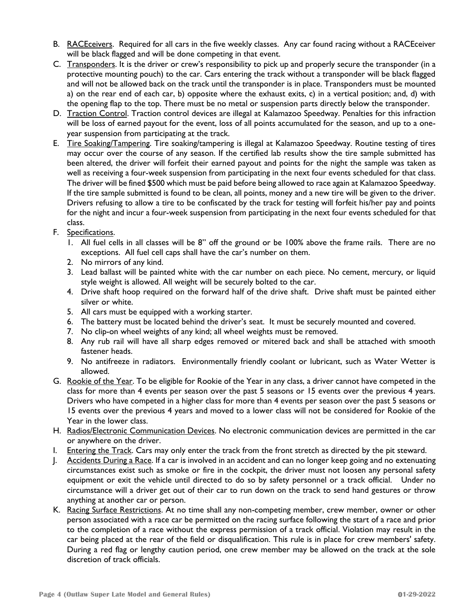- B. RACEceivers. Required for all cars in the five weekly classes. Any car found racing without a RACEceiver will be black flagged and will be done competing in that event.
- C. Transponders. It is the driver or crew's responsibility to pick up and properly secure the transponder (in a protective mounting pouch) to the car. Cars entering the track without a transponder will be black flagged and will not be allowed back on the track until the transponder is in place. Transponders must be mounted a) on the rear end of each car, b) opposite where the exhaust exits, c) in a vertical position; and, d) with the opening flap to the top. There must be no metal or suspension parts directly below the transponder.
- D. Traction Control. Traction control devices are illegal at Kalamazoo Speedway. Penalties for this infraction will be loss of earned payout for the event, loss of all points accumulated for the season, and up to a oneyear suspension from participating at the track.
- E. Tire Soaking/Tampering. Tire soaking/tampering is illegal at Kalamazoo Speedway. Routine testing of tires may occur over the course of any season. If the certified lab results show the tire sample submitted has been altered, the driver will forfeit their earned payout and points for the night the sample was taken as well as receiving a four-week suspension from participating in the next four events scheduled for that class. The driver will be fined \$500 which must be paid before being allowed to race again at Kalamazoo Speedway. If the tire sample submitted is found to be clean, all points, money and a new tire will be given to the driver. Drivers refusing to allow a tire to be confiscated by the track for testing will forfeit his/her pay and points for the night and incur a four-week suspension from participating in the next four events scheduled for that class.
- F. Specifications.
	- 1. All fuel cells in all classes will be 8" off the ground or be 100% above the frame rails. There are no exceptions. All fuel cell caps shall have the car's number on them.
	- 2. No mirrors of any kind.
	- 3. Lead ballast will be painted white with the car number on each piece. No cement, mercury, or liquid style weight is allowed. All weight will be securely bolted to the car.
	- 4. Drive shaft hoop required on the forward half of the drive shaft. Drive shaft must be painted either silver or white.
	- 5. All cars must be equipped with a working starter.
	- 6. The battery must be located behind the driver's seat. It must be securely mounted and covered.
	- 7. No clip-on wheel weights of any kind; all wheel weights must be removed.
	- 8. Any rub rail will have all sharp edges removed or mitered back and shall be attached with smooth fastener heads.
	- 9. No antifreeze in radiators. Environmentally friendly coolant or lubricant, such as Water Wetter is allowed.
- G. Rookie of the Year. To be eligible for Rookie of the Year in any class, a driver cannot have competed in the class for more than 4 events per season over the past 5 seasons or 15 events over the previous 4 years. Drivers who have competed in a higher class for more than 4 events per season over the past 5 seasons or 15 events over the previous 4 years and moved to a lower class will not be considered for Rookie of the Year in the lower class.
- H. Radios/Electronic Communication Devices. No electronic communication devices are permitted in the car or anywhere on the driver.
- I. Entering the Track. Cars may only enter the track from the front stretch as directed by the pit steward.
- J. Accidents During a Race. If a car is involved in an accident and can no longer keep going and no extenuating circumstances exist such as smoke or fire in the cockpit, the driver must not loosen any personal safety equipment or exit the vehicle until directed to do so by safety personnel or a track official. Under no circumstance will a driver get out of their car to run down on the track to send hand gestures or throw anything at another car or person.
- K. Racing Surface Restrictions. At no time shall any non-competing member, crew member, owner or other person associated with a race car be permitted on the racing surface following the start of a race and prior to the completion of a race without the express permission of a track official. Violation may result in the car being placed at the rear of the field or disqualification. This rule is in place for crew members' safety. During a red flag or lengthy caution period, one crew member may be allowed on the track at the sole discretion of track officials.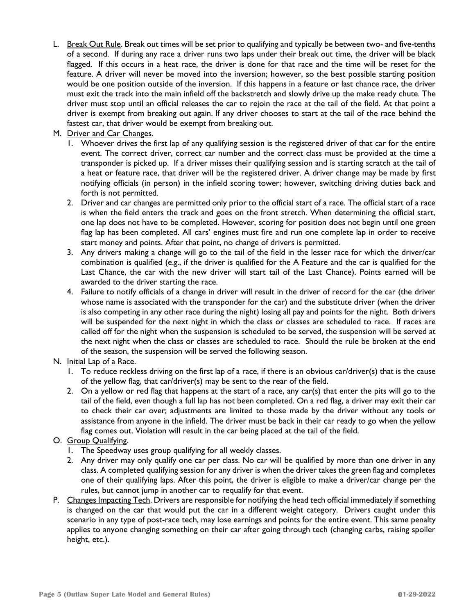L. Break Out Rule. Break out times will be set prior to qualifying and typically be between two- and five-tenths of a second. If during any race a driver runs two laps under their break out time, the driver will be black flagged. If this occurs in a heat race, the driver is done for that race and the time will be reset for the feature. A driver will never be moved into the inversion; however, so the best possible starting position would be one position outside of the inversion. If this happens in a feature or last chance race, the driver must exit the track into the main infield off the backstretch and slowly drive up the make ready chute. The driver must stop until an official releases the car to rejoin the race at the tail of the field. At that point a driver is exempt from breaking out again. If any driver chooses to start at the tail of the race behind the fastest car, that driver would be exempt from breaking out.

### M. Driver and Car Changes.

- 1. Whoever drives the first lap of any qualifying session is the registered driver of that car for the entire event. The correct driver, correct car number and the correct class must be provided at the time a transponder is picked up. If a driver misses their qualifying session and is starting scratch at the tail of a heat or feature race, that driver will be the registered driver. A driver change may be made by first notifying officials (in person) in the infield scoring tower; however, switching driving duties back and forth is not permitted.
- 2. Driver and car changes are permitted only prior to the official start of a race. The official start of a race is when the field enters the track and goes on the front stretch. When determining the official start, one lap does not have to be completed. However, scoring for position does not begin until one green flag lap has been completed. All cars' engines must fire and run one complete lap in order to receive start money and points. After that point, no change of drivers is permitted.
- 3. Any drivers making a change will go to the tail of the field in the lesser race for which the driver/car combination is qualified (e.g., if the driver is qualified for the A Feature and the car is qualified for the Last Chance, the car with the new driver will start tail of the Last Chance). Points earned will be awarded to the driver starting the race.
- 4. Failure to notify officials of a change in driver will result in the driver of record for the car (the driver whose name is associated with the transponder for the car) and the substitute driver (when the driver is also competing in any other race during the night) losing all pay and points for the night. Both drivers will be suspended for the next night in which the class or classes are scheduled to race. If races are called off for the night when the suspension is scheduled to be served, the suspension will be served at the next night when the class or classes are scheduled to race. Should the rule be broken at the end of the season, the suspension will be served the following season.

# N. Initial Lap of a Race.

- 1. To reduce reckless driving on the first lap of a race, if there is an obvious car/driver(s) that is the cause of the yellow flag, that car/driver(s) may be sent to the rear of the field.
- 2. On a yellow or red flag that happens at the start of a race, any car(s) that enter the pits will go to the tail of the field, even though a full lap has not been completed. On a red flag, a driver may exit their car to check their car over; adjustments are limited to those made by the driver without any tools or assistance from anyone in the infield. The driver must be back in their car ready to go when the yellow flag comes out. Violation will result in the car being placed at the tail of the field.

# O. Group Qualifying.

- 1. The Speedway uses group qualifying for all weekly classes.
- 2. Any driver may only qualify one car per class. No car will be qualified by more than one driver in any class. A completed qualifying session for any driver is when the driver takes the green flag and completes one of their qualifying laps. After this point, the driver is eligible to make a driver/car change per the rules, but cannot jump in another car to requalify for that event.
- P. Changes Impacting Tech. Drivers are responsible for notifying the head tech official immediately if something is changed on the car that would put the car in a different weight category. Drivers caught under this scenario in any type of post-race tech, may lose earnings and points for the entire event. This same penalty applies to anyone changing something on their car after going through tech (changing carbs, raising spoiler height, etc.).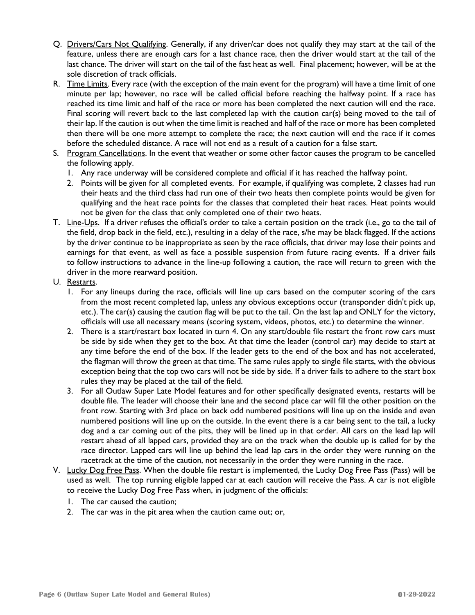- Q. Drivers/Cars Not Qualifying. Generally, if any driver/car does not qualify they may start at the tail of the feature, unless there are enough cars for a last chance race, then the driver would start at the tail of the last chance. The driver will start on the tail of the fast heat as well. Final placement; however, will be at the sole discretion of track officials.
- R. Time Limits. Every race (with the exception of the main event for the program) will have a time limit of one minute per lap; however, no race will be called official before reaching the halfway point. If a race has reached its time limit and half of the race or more has been completed the next caution will end the race. Final scoring will revert back to the last completed lap with the caution car(s) being moved to the tail of their lap. If the caution is out when the time limit is reached and half of the race or more has been completed then there will be one more attempt to complete the race; the next caution will end the race if it comes before the scheduled distance. A race will not end as a result of a caution for a false start.
- S. Program Cancellations. In the event that weather or some other factor causes the program to be cancelled the following apply.
	- 1. Any race underway will be considered complete and official if it has reached the halfway point.
	- 2. Points will be given for all completed events. For example, if qualifying was complete, 2 classes had run their heats and the third class had run one of their two heats then complete points would be given for qualifying and the heat race points for the classes that completed their heat races. Heat points would not be given for the class that only completed one of their two heats.
- T. Line-Ups. If a driver refuses the official's order to take a certain position on the track (i.e., go to the tail of the field, drop back in the field, etc.), resulting in a delay of the race, s/he may be black flagged. If the actions by the driver continue to be inappropriate as seen by the race officials, that driver may lose their points and earnings for that event, as well as face a possible suspension from future racing events. If a driver fails to follow instructions to advance in the line-up following a caution, the race will return to green with the driver in the more rearward position.
- U. Restarts.
	- 1. For any lineups during the race, officials will line up cars based on the computer scoring of the cars from the most recent completed lap, unless any obvious exceptions occur (transponder didn't pick up, etc.). The car(s) causing the caution flag will be put to the tail. On the last lap and ONLY for the victory, officials will use all necessary means (scoring system, videos, photos, etc.) to determine the winner.
	- 2. There is a start/restart box located in turn 4. On any start/double file restart the front row cars must be side by side when they get to the box. At that time the leader (control car) may decide to start at any time before the end of the box. If the leader gets to the end of the box and has not accelerated, the flagman will throw the green at that time. The same rules apply to single file starts, with the obvious exception being that the top two cars will not be side by side. If a driver fails to adhere to the start box rules they may be placed at the tail of the field.
	- 3. For all Outlaw Super Late Model features and for other specifically designated events, restarts will be double file. The leader will choose their lane and the second place car will fill the other position on the front row. Starting with 3rd place on back odd numbered positions will line up on the inside and even numbered positions will line up on the outside. In the event there is a car being sent to the tail, a lucky dog and a car coming out of the pits, they will be lined up in that order. All cars on the lead lap will restart ahead of all lapped cars, provided they are on the track when the double up is called for by the race director. Lapped cars will line up behind the lead lap cars in the order they were running on the racetrack at the time of the caution, not necessarily in the order they were running in the race.
- V. Lucky Dog Free Pass. When the double file restart is implemented, the Lucky Dog Free Pass (Pass) will be used as well. The top running eligible lapped car at each caution will receive the Pass. A car is not eligible to receive the Lucky Dog Free Pass when, in judgment of the officials:
	- 1. The car caused the caution;
	- 2. The car was in the pit area when the caution came out; or,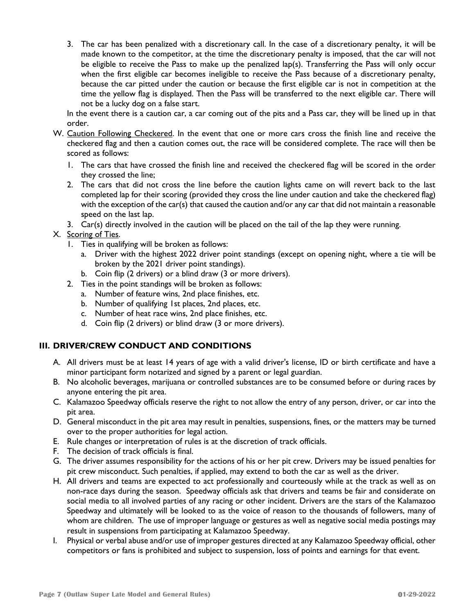3. The car has been penalized with a discretionary call. In the case of a discretionary penalty, it will be made known to the competitor, at the time the discretionary penalty is imposed, that the car will not be eligible to receive the Pass to make up the penalized lap(s). Transferring the Pass will only occur when the first eligible car becomes ineligible to receive the Pass because of a discretionary penalty, because the car pitted under the caution or because the first eligible car is not in competition at the time the yellow flag is displayed. Then the Pass will be transferred to the next eligible car. There will not be a lucky dog on a false start.

In the event there is a caution car, a car coming out of the pits and a Pass car, they will be lined up in that order.

- W. Caution Following Checkered. In the event that one or more cars cross the finish line and receive the checkered flag and then a caution comes out, the race will be considered complete. The race will then be scored as follows:
	- 1. The cars that have crossed the finish line and received the checkered flag will be scored in the order they crossed the line;
	- 2. The cars that did not cross the line before the caution lights came on will revert back to the last completed lap for their scoring (provided they cross the line under caution and take the checkered flag) with the exception of the car(s) that caused the caution and/or any car that did not maintain a reasonable speed on the last lap.
	- 3. Car(s) directly involved in the caution will be placed on the tail of the lap they were running.
- X. Scoring of Ties.
	- 1. Ties in qualifying will be broken as follows:
		- a. Driver with the highest 2022 driver point standings (except on opening night, where a tie will be broken by the 2021 driver point standings).
		- b. Coin flip (2 drivers) or a blind draw (3 or more drivers).
	- 2. Ties in the point standings will be broken as follows:
		- a. Number of feature wins, 2nd place finishes, etc.
		- b. Number of qualifying 1st places, 2nd places, etc.
		- c. Number of heat race wins, 2nd place finishes, etc.
		- d. Coin flip (2 drivers) or blind draw (3 or more drivers).

# **III. DRIVER/CREW CONDUCT AND CONDITIONS**

- A. All drivers must be at least 14 years of age with a valid driver's license, ID or birth certificate and have a minor participant form notarized and signed by a parent or legal guardian.
- B. No alcoholic beverages, marijuana or controlled substances are to be consumed before or during races by anyone entering the pit area.
- C. Kalamazoo Speedway officials reserve the right to not allow the entry of any person, driver, or car into the pit area.
- D. General misconduct in the pit area may result in penalties, suspensions, fines, or the matters may be turned over to the proper authorities for legal action.
- E. Rule changes or interpretation of rules is at the discretion of track officials.
- F. The decision of track officials is final.
- G. The driver assumes responsibility for the actions of his or her pit crew. Drivers may be issued penalties for pit crew misconduct. Such penalties, if applied, may extend to both the car as well as the driver.
- H. All drivers and teams are expected to act professionally and courteously while at the track as well as on non-race days during the season. Speedway officials ask that drivers and teams be fair and considerate on social media to all involved parties of any racing or other incident. Drivers are the stars of the Kalamazoo Speedway and ultimately will be looked to as the voice of reason to the thousands of followers, many of whom are children. The use of improper language or gestures as well as negative social media postings may result in suspensions from participating at Kalamazoo Speedway.
- I. Physical or verbal abuse and/or use of improper gestures directed at any Kalamazoo Speedway official, other competitors or fans is prohibited and subject to suspension, loss of points and earnings for that event.